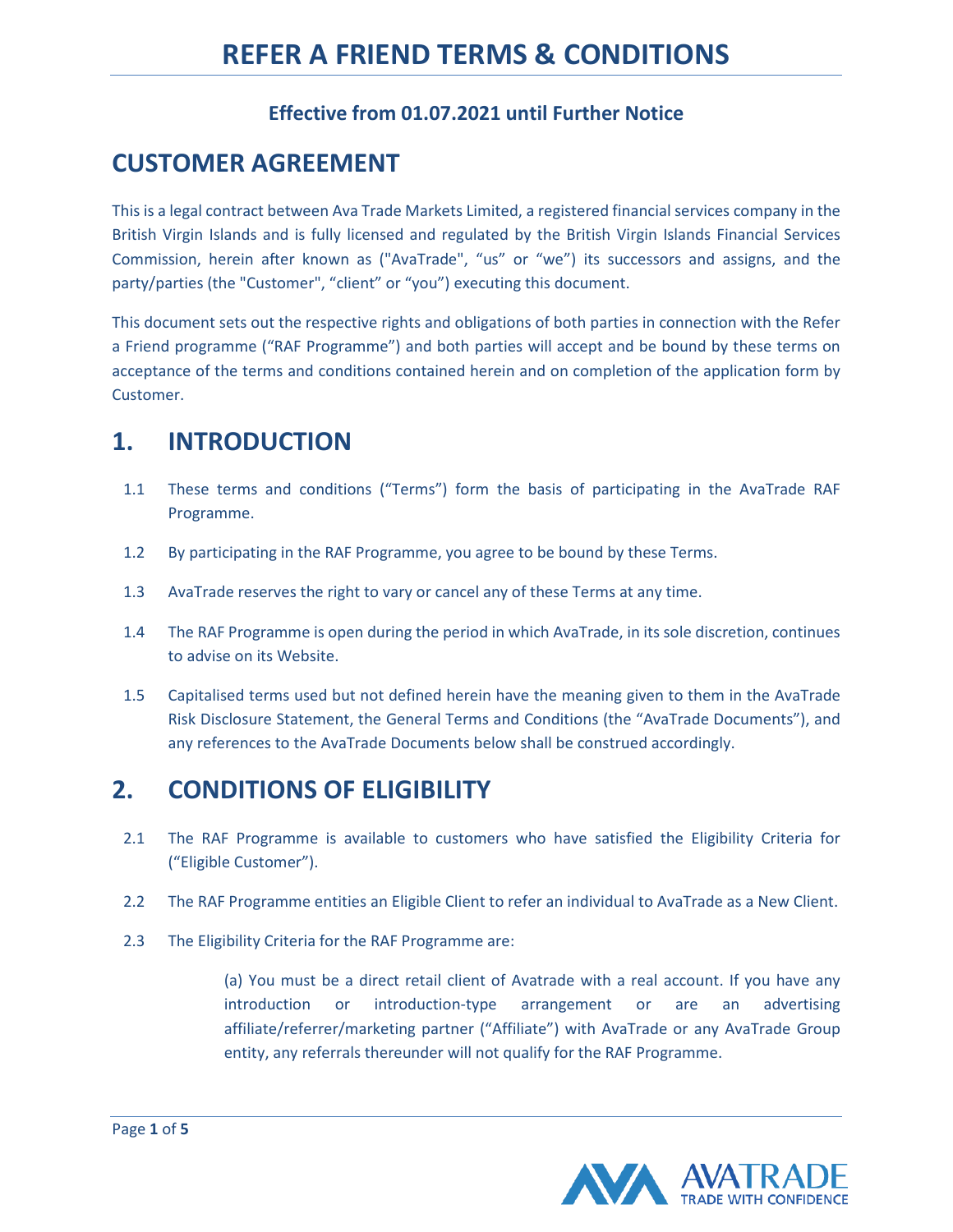#### **Effective from 01.07.2021 until Further Notice**

### **CUSTOMER AGREEMENT**

This is a legal contract between Ava Trade Markets Limited, a registered financial services company in the British Virgin Islands and is fully licensed and regulated by the British Virgin Islands Financial Services Commission, herein after known as ("AvaTrade", "us" or "we") its successors and assigns, and the party/parties (the "Customer", "client" or "you") executing this document.

This document sets out the respective rights and obligations of both parties in connection with the Refer a Friend programme ("RAF Programme") and both parties will accept and be bound by these terms on acceptance of the terms and conditions contained herein and on completion of the application form by Customer.

#### **1. INTRODUCTION**

- 1.1 These terms and conditions ("Terms") form the basis of participating in the AvaTrade RAF Programme.
- 1.2 By participating in the RAF Programme, you agree to be bound by these Terms.
- 1.3 AvaTrade reserves the right to vary or cancel any of these Terms at any time.
- 1.4 The RAF Programme is open during the period in which AvaTrade, in its sole discretion, continues to advise on its Website.
- 1.5 Capitalised terms used but not defined herein have the meaning given to them in the AvaTrade Risk Disclosure Statement, the General Terms and Conditions (the "AvaTrade Documents"), and any references to the AvaTrade Documents below shall be construed accordingly.

# **2. CONDITIONS OF ELIGIBILITY**

- 2.1 The RAF Programme is available to customers who have satisfied the Eligibility Criteria for ("Eligible Customer").
- 2.2 The RAF Programme entities an Eligible Client to refer an individual to AvaTrade as a New Client.
- 2.3 The Eligibility Criteria for the RAF Programme are:

(a) You must be a direct retail client of Avatrade with a real account. If you have any introduction or introduction-type arrangement or are an advertising affiliate/referrer/marketing partner ("Affiliate") with AvaTrade or any AvaTrade Group entity, any referrals thereunder will not qualify for the RAF Programme.

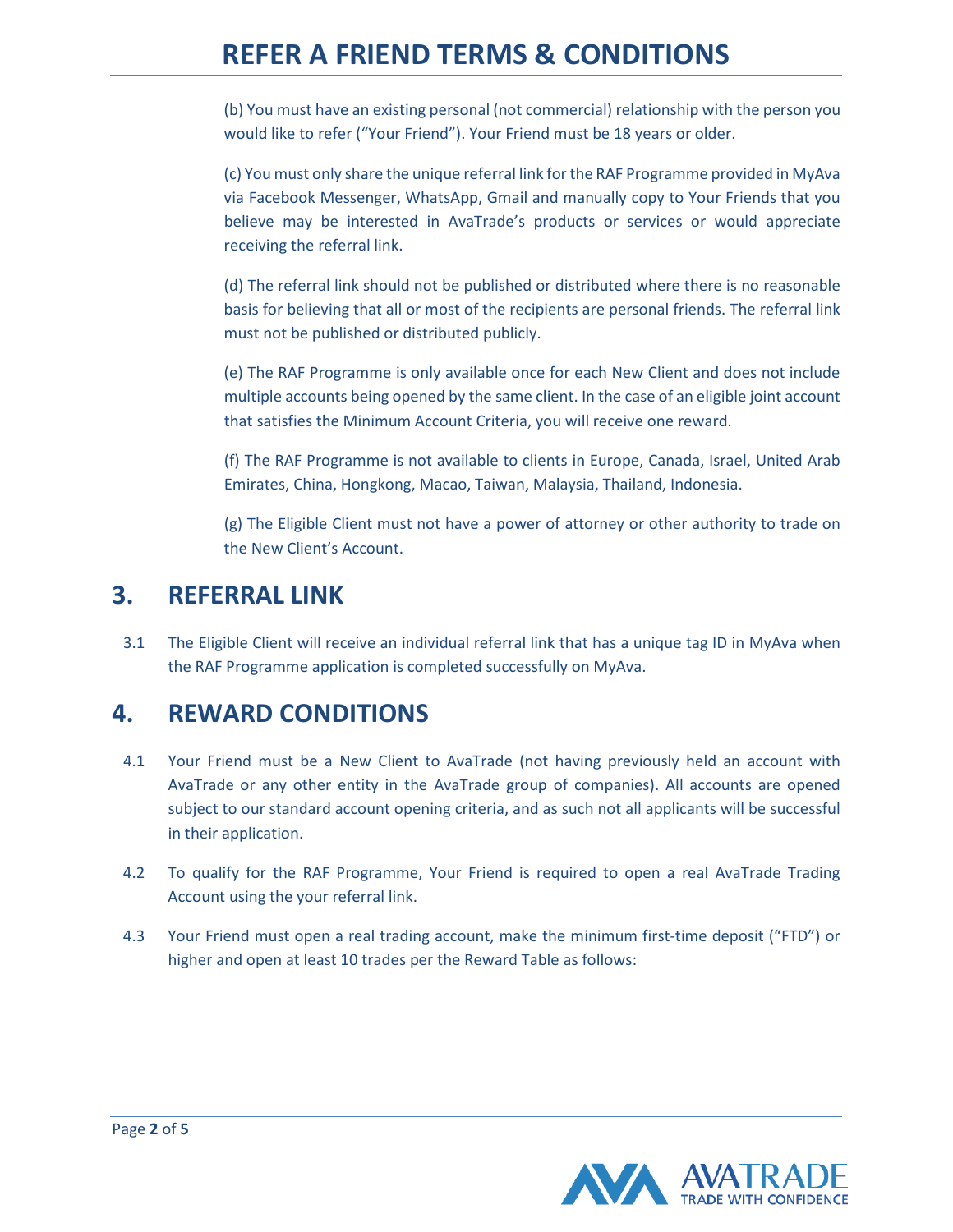(b) You must have an existing personal (not commercial) relationship with the person you would like to refer ("Your Friend"). Your Friend must be 18 years or older.

(c) You must only share the unique referral link for the RAF Programme provided in MyAva via Facebook Messenger, WhatsApp, Gmail and manually copy to Your Friends that you believe may be interested in AvaTrade's products or services or would appreciate receiving the referral link.

(d) The referral link should not be published or distributed where there is no reasonable basis for believing that all or most of the recipients are personal friends. The referral link must not be published or distributed publicly.

(e) The RAF Programme is only available once for each New Client and does not include multiple accounts being opened by the same client. In the case of an eligible joint account that satisfies the Minimum Account Criteria, you will receive one reward.

(f) The RAF Programme is not available to clients in Europe, Canada, Israel, United Arab Emirates, China, Hongkong, Macao, Taiwan, Malaysia, Thailand, Indonesia.

(g) The Eligible Client must not have a power of attorney or other authority to trade on the New Client's Account.

#### **3. REFERRAL LINK**

3.1 The Eligible Client will receive an individual referral link that has a unique tag ID in MyAva when the RAF Programme application is completed successfully on MyAva.

# **4. REWARD CONDITIONS**

- 4.1 Your Friend must be a New Client to AvaTrade (not having previously held an account with AvaTrade or any other entity in the AvaTrade group of companies). All accounts are opened subject to our standard account opening criteria, and as such not all applicants will be successful in their application.
- 4.2 To qualify for the RAF Programme, Your Friend is required to open a real AvaTrade Trading Account using the your referral link.
- 4.3 Your Friend must open a real trading account, make the minimum first-time deposit ("FTD") or higher and open at least 10 trades per the Reward Table as follows:

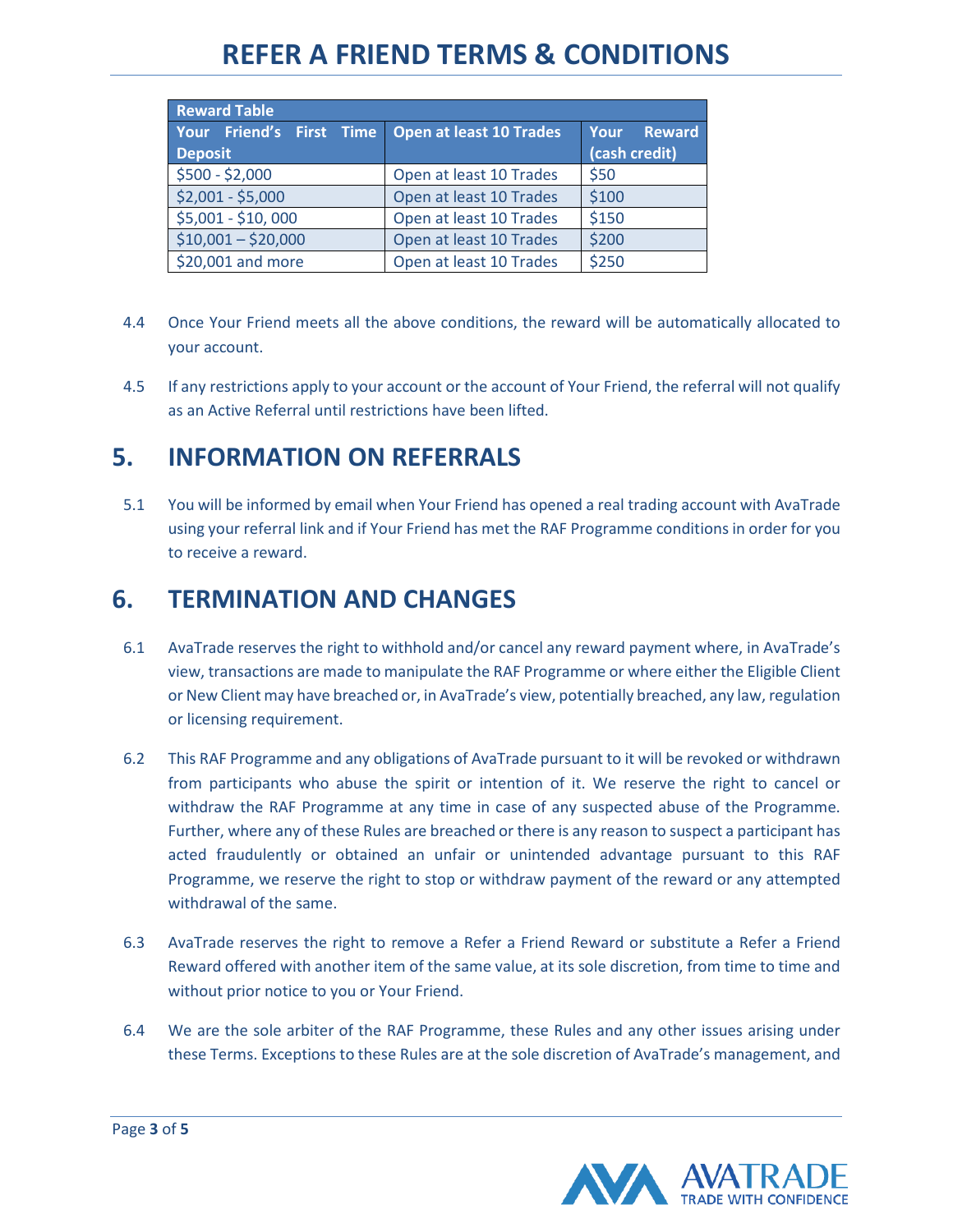| <b>Reward Table</b>                        |                                |                                        |
|--------------------------------------------|--------------------------------|----------------------------------------|
| Your Friend's First Time<br><b>Deposit</b> | <b>Open at least 10 Trades</b> | Your<br><b>Reward</b><br>(cash credit) |
|                                            |                                |                                        |
| $$500 - $2,000$                            | Open at least 10 Trades        | \$50                                   |
| $$2,001 - $5,000$                          | Open at least 10 Trades        | \$100                                  |
| $$5,001 - $10,000$                         | Open at least 10 Trades        | \$150                                  |
| $$10,001 - $20,000$                        | Open at least 10 Trades        | \$200                                  |
| \$20,001 and more                          | Open at least 10 Trades        | \$250                                  |

- 4.4 Once Your Friend meets all the above conditions, the reward will be automatically allocated to your account.
- 4.5 If any restrictions apply to your account or the account of Your Friend, the referral will not qualify as an Active Referral until restrictions have been lifted.

# **5. INFORMATION ON REFERRALS**

5.1 You will be informed by email when Your Friend has opened a real trading account with AvaTrade using your referral link and if Your Friend has met the RAF Programme conditions in order for you to receive a reward.

### **6. TERMINATION AND CHANGES**

- 6.1 AvaTrade reserves the right to withhold and/or cancel any reward payment where, in AvaTrade's view, transactions are made to manipulate the RAF Programme or where either the Eligible Client or New Client may have breached or, in AvaTrade's view, potentially breached, any law, regulation or licensing requirement.
- 6.2 This RAF Programme and any obligations of AvaTrade pursuant to it will be revoked or withdrawn from participants who abuse the spirit or intention of it. We reserve the right to cancel or withdraw the RAF Programme at any time in case of any suspected abuse of the Programme. Further, where any of these Rules are breached or there is any reason to suspect a participant has acted fraudulently or obtained an unfair or unintended advantage pursuant to this RAF Programme, we reserve the right to stop or withdraw payment of the reward or any attempted withdrawal of the same.
- 6.3 AvaTrade reserves the right to remove a Refer a Friend Reward or substitute a Refer a Friend Reward offered with another item of the same value, at its sole discretion, from time to time and without prior notice to you or Your Friend.
- 6.4 We are the sole arbiter of the RAF Programme, these Rules and any other issues arising under these Terms. Exceptions to these Rules are at the sole discretion of AvaTrade's management, and

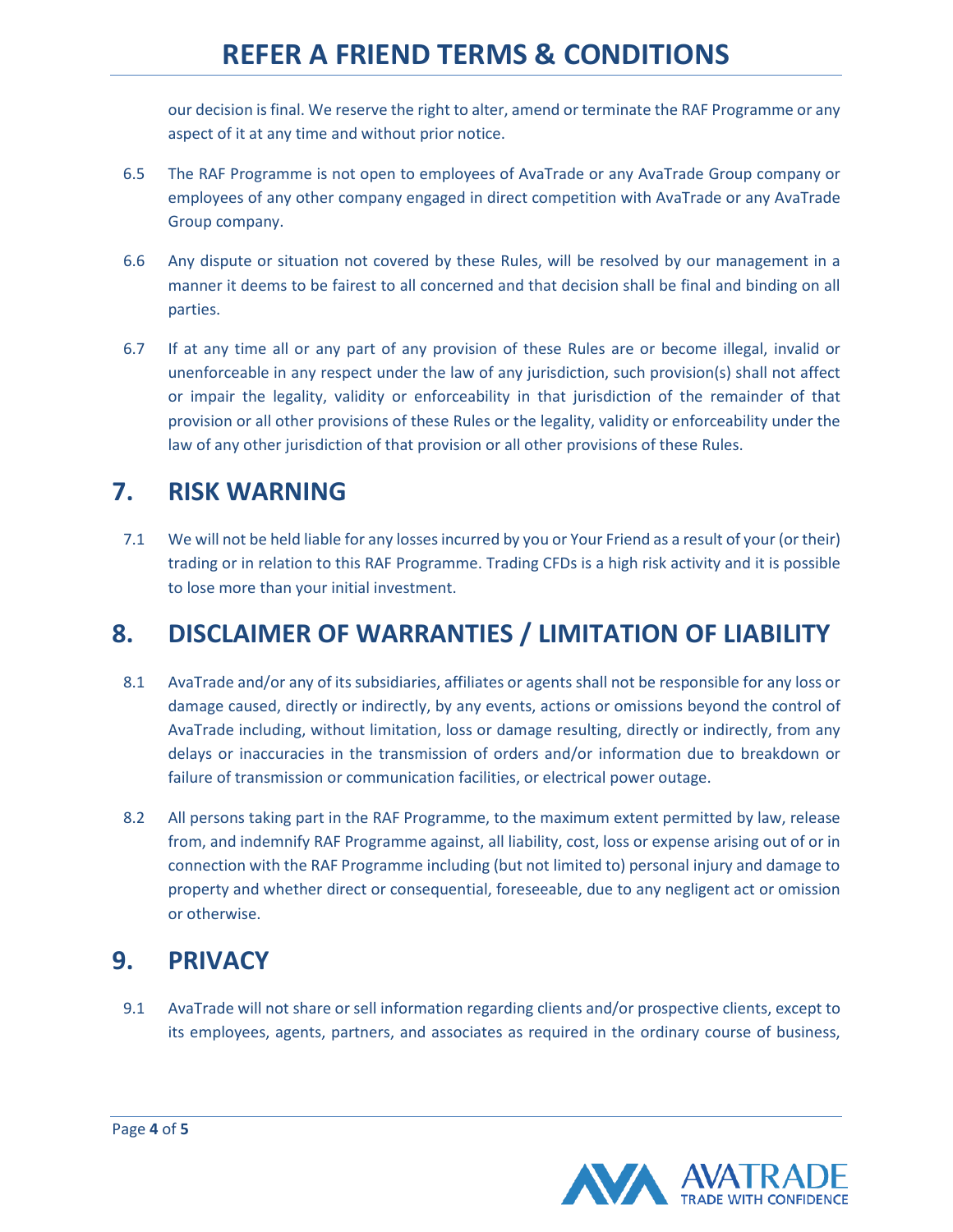our decision is final. We reserve the right to alter, amend or terminate the RAF Programme or any aspect of it at any time and without prior notice.

- 6.5 The RAF Programme is not open to employees of AvaTrade or any AvaTrade Group company or employees of any other company engaged in direct competition with AvaTrade or any AvaTrade Group company.
- 6.6 Any dispute or situation not covered by these Rules, will be resolved by our management in a manner it deems to be fairest to all concerned and that decision shall be final and binding on all parties.
- 6.7 If at any time all or any part of any provision of these Rules are or become illegal, invalid or unenforceable in any respect under the law of any jurisdiction, such provision(s) shall not affect or impair the legality, validity or enforceability in that jurisdiction of the remainder of that provision or all other provisions of these Rules or the legality, validity or enforceability under the law of any other jurisdiction of that provision or all other provisions of these Rules.

# **7. RISK WARNING**

7.1 We will not be held liable for any losses incurred by you or Your Friend as a result of your (or their) trading or in relation to this RAF Programme. Trading CFDs is a high risk activity and it is possible to lose more than your initial investment.

# **8. DISCLAIMER OF WARRANTIES / LIMITATION OF LIABILITY**

- 8.1 AvaTrade and/or any of its subsidiaries, affiliates or agents shall not be responsible for any loss or damage caused, directly or indirectly, by any events, actions or omissions beyond the control of AvaTrade including, without limitation, loss or damage resulting, directly or indirectly, from any delays or inaccuracies in the transmission of orders and/or information due to breakdown or failure of transmission or communication facilities, or electrical power outage.
- 8.2 All persons taking part in the RAF Programme, to the maximum extent permitted by law, release from, and indemnify RAF Programme against, all liability, cost, loss or expense arising out of or in connection with the RAF Programme including (but not limited to) personal injury and damage to property and whether direct or consequential, foreseeable, due to any negligent act or omission or otherwise.

# **9. PRIVACY**

9.1 AvaTrade will not share or sell information regarding clients and/or prospective clients, except to its employees, agents, partners, and associates as required in the ordinary course of business,